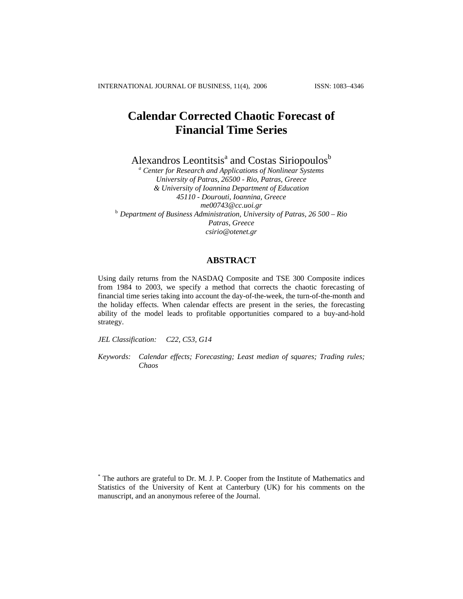INTERNATIONAL JOURNAL OF BUSINESS, 11(4), 2006 ISSN: 1083−4346

# **Calendar Corrected Chaotic Forecast of Financial Time Series**

Alexandros Leontitsis<sup>ª</sup> and Costas Siriopoulos<sup>b</sup>

*a Center for Research and Applications of Nonlinear Systems University of Patras, 26500 - Rio, Patras, Greece & University of Ioannina Department of Education 45110 - Dourouti, Ioannina, Greece*  <sup>b</sup> Department of Business Administration, University of Patras, 26 500 – Rio *Patras, Greece csirio@otenet.gr* 

# **ABSTRACT**

Using daily returns from the NASDAQ Composite and TSE 300 Composite indices from 1984 to 2003, we specify a method that corrects the chaotic forecasting of financial time series taking into account the day-of-the-week, the turn-of-the-month and the holiday effects. When calendar effects are present in the series, the forecasting ability of the model leads to profitable opportunities compared to a buy-and-hold strategy.

*JEL Classification: C22, C53, G14* 

*Keywords: Calendar effects; Forecasting; Least median of squares; Trading rules; Chaos* 

<sup>\*</sup> The authors are grateful to Dr. M. J. P. Cooper from the Institute of Mathematics and Statistics of the University of Kent at Canterbury (UK) for his comments on the manuscript, and an anonymous referee of the Journal.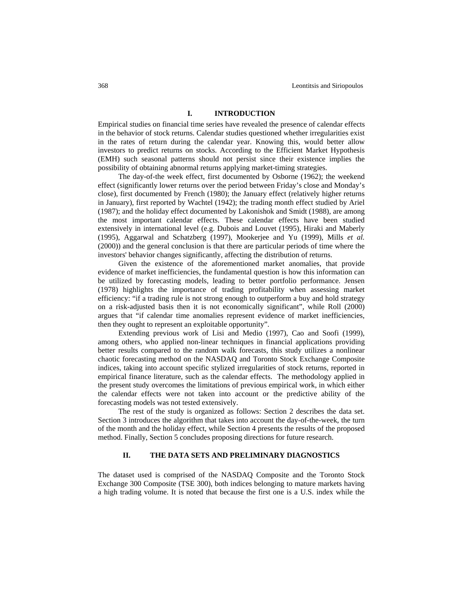## **I. INTRODUCTION**

Empirical studies on financial time series have revealed the presence of calendar effects in the behavior of stock returns. Calendar studies questioned whether irregularities exist in the rates of return during the calendar year. Knowing this, would better allow investors to predict returns on stocks. According to the Efficient Market Hypothesis (EMH) such seasonal patterns should not persist since their existence implies the possibility of obtaining abnormal returns applying market-timing strategies.

The day-of-the week effect, first documented by Osborne (1962); the weekend effect (significantly lower returns over the period between Friday's close and Monday's close), first documented by French (1980); the January effect (relatively higher returns in January), first reported by Wachtel (1942); the trading month effect studied by Ariel (1987); and the holiday effect documented by Lakonishok and Smidt (1988), are among the most important calendar effects. These calendar effects have been studied extensively in international level (e.g. Dubois and Louvet (1995), Hiraki and Maberly (1995), Aggarwal and Schatzberg (1997), Mookerjee and Yu (1999), Mills *et al.* (2000)) and the general conclusion is that there are particular periods of time where the investors' behavior changes significantly, affecting the distribution of returns.

Given the existence of the aforementioned market anomalies, that provide evidence of market inefficiencies, the fundamental question is how this information can be utilized by forecasting models, leading to better portfolio performance. Jensen (1978) highlights the importance of trading profitability when assessing market efficiency: "if a trading rule is not strong enough to outperform a buy and hold strategy on a risk-adjusted basis then it is not economically significant", while Roll (2000) argues that "if calendar time anomalies represent evidence of market inefficiencies, then they ought to represent an exploitable opportunity".

Extending previous work of Lisi and Medio (1997), Cao and Soofi (1999), among others, who applied non-linear techniques in financial applications providing better results compared to the random walk forecasts, this study utilizes a nonlinear chaotic forecasting method on the NASDAQ and Toronto Stock Exchange Composite indices, taking into account specific stylized irregularities of stock returns, reported in empirical finance literature, such as the calendar effects. The methodology applied in the present study overcomes the limitations of previous empirical work, in which either the calendar effects were not taken into account or the predictive ability of the forecasting models was not tested extensively.

The rest of the study is organized as follows: Section 2 describes the data set. Section 3 introduces the algorithm that takes into account the day-of-the-week, the turn of the month and the holiday effect, while Section 4 presents the results of the proposed method. Finally, Section 5 concludes proposing directions for future research.

#### **II. THE DATA SETS AND PRELIMINARY DIAGNOSTICS**

The dataset used is comprised of the NASDAQ Composite and the Toronto Stock Exchange 300 Composite (TSE 300), both indices belonging to mature markets having a high trading volume. It is noted that because the first one is a U.S. index while the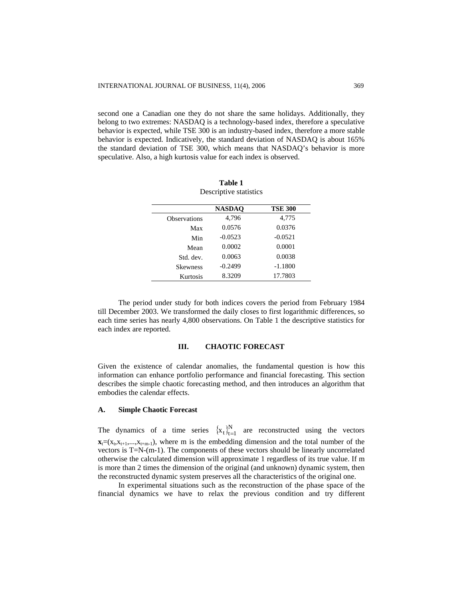second one a Canadian one they do not share the same holidays. Additionally, they belong to two extremes: NASDAQ is a technology-based index, therefore a speculative behavior is expected, while TSE 300 is an industry-based index, therefore a more stable behavior is expected. Indicatively, the standard deviation of NASDAQ is about 165% the standard deviation of TSE 300, which means that NASDAQ's behavior is more speculative. Also, a high kurtosis value for each index is observed.

|                     | <b>NASDAO</b> | <b>TSE 300</b> |
|---------------------|---------------|----------------|
| <b>Observations</b> | 4,796         | 4,775          |
| Max                 | 0.0576        | 0.0376         |
| Min                 | $-0.0523$     | $-0.0521$      |
| Mean                | 0.0002        | 0.0001         |
| Std. dev.           | 0.0063        | 0.0038         |
| <b>Skewness</b>     | $-0.2499$     | $-1.1800$      |
| Kurtosis            | 8.3209        | 17.7803        |

**Table 1**  Descriptive statistics

The period under study for both indices covers the period from February 1984 till December 2003. We transformed the daily closes to first logarithmic differences, so each time series has nearly 4,800 observations. On Table 1 the descriptive statistics for each index are reported.

#### **III. CHAOTIC FORECAST**

Given the existence of calendar anomalies, the fundamental question is how this information can enhance portfolio performance and financial forecasting. This section describes the simple chaotic forecasting method, and then introduces an algorithm that embodies the calendar effects.

#### **A. Simple Chaotic Forecast**

The dynamics of a time series  ${x_t}_{t=1}^N$  are reconstructed using the vectors  $\mathbf{x} = (x_t, x_{t+1},...,x_{t+m-1})$ , where m is the embedding dimension and the total number of the vectors is T=N-(m-1). The components of these vectors should be linearly uncorrelated otherwise the calculated dimension will approximate 1 regardless of its true value. If m is more than 2 times the dimension of the original (and unknown) dynamic system, then the reconstructed dynamic system preserves all the characteristics of the original one.

In experimental situations such as the reconstruction of the phase space of the financial dynamics we have to relax the previous condition and try different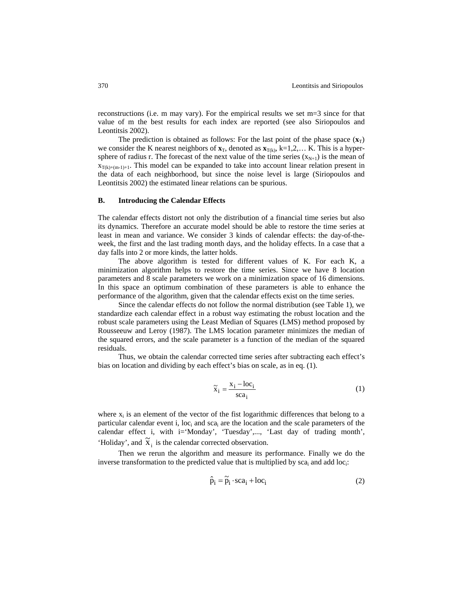reconstructions (i.e. m may vary). For the empirical results we set m=3 since for that value of m the best results for each index are reported (see also Siriopoulos and Leontitsis 2002).

The prediction is obtained as follows: For the last point of the phase space  $(\mathbf{x}_T)$ we consider the K nearest neighbors of  $\mathbf{x}_T$ , denoted as  $\mathbf{x}_{T(k)}$ , k=1,2,... K. This is a hypersphere of radius r. The forecast of the next value of the time series  $(x_{N+1})$  is the mean of  $x_{T(k)+(m-1)+1}$ . This model can be expanded to take into account linear relation present in the data of each neighborhood, but since the noise level is large (Siriopoulos and Leontitsis 2002) the estimated linear relations can be spurious.

#### **B. Introducing the Calendar Effects**

The calendar effects distort not only the distribution of a financial time series but also its dynamics. Therefore an accurate model should be able to restore the time series at least in mean and variance. We consider 3 kinds of calendar effects: the day-of-theweek, the first and the last trading month days, and the holiday effects. In a case that a day falls into 2 or more kinds, the latter holds.

The above algorithm is tested for different values of K. For each K, a minimization algorithm helps to restore the time series. Since we have 8 location parameters and 8 scale parameters we work on a minimization space of 16 dimensions. In this space an optimum combination of these parameters is able to enhance the performance of the algorithm, given that the calendar effects exist on the time series.

Since the calendar effects do not follow the normal distribution (see Table 1), we standardize each calendar effect in a robust way estimating the robust location and the robust scale parameters using the Least Median of Squares (LMS) method proposed by Rousseeuw and Leroy (1987). The LMS location parameter minimizes the median of the squared errors, and the scale parameter is a function of the median of the squared residuals.

Thus, we obtain the calendar corrected time series after subtracting each effect's bias on location and dividing by each effect's bias on scale, as in eq. (1).

$$
\tilde{x}_i = \frac{x_i - \text{loc}_i}{\text{scal}_i} \tag{1}
$$

where  $x_i$  is an element of the vector of the fist logarithmic differences that belong to a particular calendar event i,  $loc<sub>i</sub>$  and  $sca<sub>i</sub>$  are the location and the scale parameters of the calendar effect i, with i='Monday', 'Tuesday',..., 'Last day of trading month', 'Holiday', and  $\tilde{\mathbf{x}}_i$  is the calendar corrected observation.

Then we rerun the algorithm and measure its performance. Finally we do the inverse transformation to the predicted value that is multiplied by  $sca_i$  and add  $loc_i$ :

$$
\hat{p}_i = \tilde{p}_i \cdot \text{sca}_i + \text{loc}_i \tag{2}
$$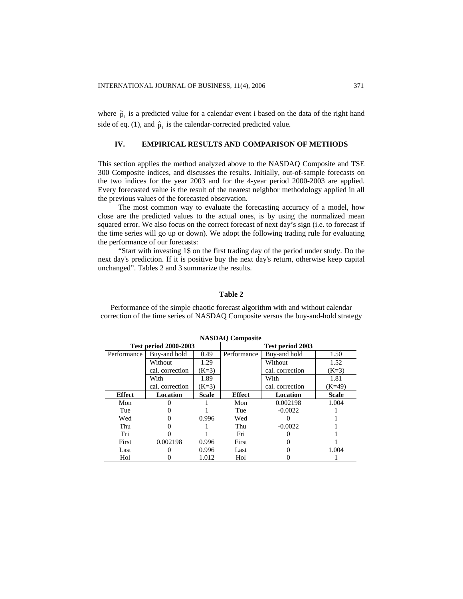where  $\tilde{p}_i$  is a predicted value for a calendar event i based on the data of the right hand side of eq. (1), and  $\hat{p}_i$  is the calendar-corrected predicted value.

#### **IV. EMPIRICAL RESULTS AND COMPARISON OF METHODS**

This section applies the method analyzed above to the NASDAQ Composite and TSE 300 Composite indices, and discusses the results. Initially, out-of-sample forecasts on the two indices for the year 2003 and for the 4-year period 2000-2003 are applied. Every forecasted value is the result of the nearest neighbor methodology applied in all the previous values of the forecasted observation.

The most common way to evaluate the forecasting accuracy of a model, how close are the predicted values to the actual ones, is by using the normalized mean squared error. We also focus on the correct forecast of next day's sign (i.e. to forecast if the time series will go up or down). We adopt the following trading rule for evaluating the performance of our forecasts:

"Start with investing 1\$ on the first trading day of the period under study. Do the next day's prediction. If it is positive buy the next day's return, otherwise keep capital unchanged". Tables 2 and 3 summarize the results.

#### **Table 2**

Performance of the simple chaotic forecast algorithm with and without calendar correction of the time series of NASDAQ Composite versus the buy-and-hold strategy

| <b>NASDAO</b> Composite      |                 |              |                  |                 |              |  |  |  |  |
|------------------------------|-----------------|--------------|------------------|-----------------|--------------|--|--|--|--|
| <b>Test period 2000-2003</b> |                 |              | Test period 2003 |                 |              |  |  |  |  |
| Performance                  | Buy-and hold    | 0.49         | Performance      | Buy-and hold    | 1.50         |  |  |  |  |
|                              | Without         | 1.29         |                  | Without         | 1.52         |  |  |  |  |
|                              | cal. correction | $(K=3)$      |                  | cal. correction | $(K=3)$      |  |  |  |  |
|                              | With            | 1.89         |                  | With            | 1.81         |  |  |  |  |
|                              | cal. correction | $(K=3)$      |                  | cal. correction | $(K=49)$     |  |  |  |  |
| <b>Effect</b>                | Location        | <b>Scale</b> | <b>Effect</b>    | Location        | <b>Scale</b> |  |  |  |  |
| Mon                          |                 |              | Mon              | 0.002198        | 1.004        |  |  |  |  |
| Tue                          |                 |              | Tue              | $-0.0022$       |              |  |  |  |  |
| Wed                          |                 | 0.996        | Wed              |                 |              |  |  |  |  |
| Thu                          |                 |              | Thu              | $-0.0022$       |              |  |  |  |  |
| Fri                          |                 |              | Fri              |                 |              |  |  |  |  |
| First                        | 0.002198        | 0.996        | First            |                 |              |  |  |  |  |
| Last                         |                 | 0.996        | Last             |                 | 1.004        |  |  |  |  |
| Hol                          |                 | 1.012        | Hol              |                 |              |  |  |  |  |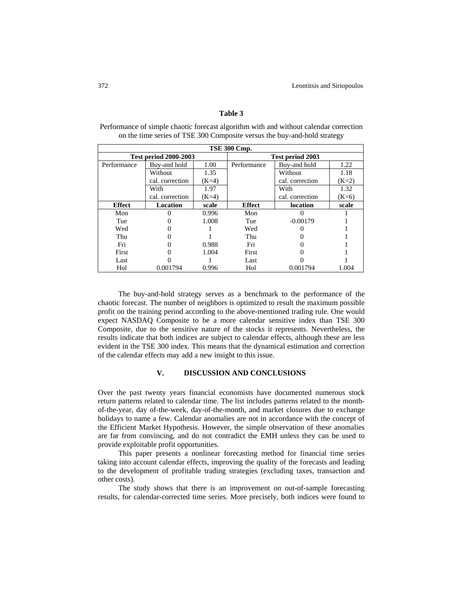| <b>TSE 300 Cmp.</b>          |                 |         |                  |                 |         |  |  |  |
|------------------------------|-----------------|---------|------------------|-----------------|---------|--|--|--|
| <b>Test period 2000-2003</b> |                 |         | Test period 2003 |                 |         |  |  |  |
| Performance                  | Buy-and hold    | 1.00    | Performance      | Buy-and hold    | 1.22    |  |  |  |
|                              | Without         | 1.35    |                  | Without         | 1.18    |  |  |  |
|                              | cal. correction | $(K=4)$ |                  | cal. correction | $(K=2)$ |  |  |  |
|                              | With            | 1.97    |                  | With            | 1.32    |  |  |  |
|                              | cal. correction | $(K=4)$ |                  | cal. correction | $(K=6)$ |  |  |  |
| <b>Effect</b>                | Location        | scale   | <b>Effect</b>    | location        | scale   |  |  |  |
| Mon                          |                 | 0.996   | Mon              |                 |         |  |  |  |
| Tue                          |                 | 1.008   | Tue              | $-0.00179$      |         |  |  |  |
| Wed                          |                 |         | Wed              |                 |         |  |  |  |
| Thu                          |                 |         | Thu              |                 |         |  |  |  |
| Fri                          |                 | 0.988   | Fri              |                 |         |  |  |  |
| First                        |                 | 1.004   | First            |                 |         |  |  |  |
| Last                         |                 |         | Last             |                 |         |  |  |  |
| Hol                          | 0.001794        | 0.996   | Hol              | 0.001794        | 1.004   |  |  |  |

### **Table 3**

Performance of simple chaotic forecast algorithm with and without calendar correction on the time series of TSE 300 Composite versus the buy-and-hold strategy

The buy-and-hold strategy serves as a benchmark to the performance of the chaotic forecast. The number of neighbors is optimized to result the maximum possible profit on the training period according to the above-mentioned trading rule. One would expect NASDAQ Composite to be a more calendar sensitive index than TSE 300 Composite, due to the sensitive nature of the stocks it represents. Nevertheless, the results indicate that both indices are subject to calendar effects, although these are less evident in the TSE 300 index. This means that the dynamical estimation and correction of the calendar effects may add a new insight to this issue.

#### **V. DISCUSSION AND CONCLUSIONS**

Over the past twenty years financial economists have documented numerous stock return patterns related to calendar time. The list includes patterns related to the monthof-the-year, day of-the-week, day-of-the-month, and market closures due to exchange holidays to name a few. Calendar anomalies are not in accordance with the concept of the Efficient Market Hypothesis. However, the simple observation of these anomalies are far from convincing, and do not contradict the EMH unless they can be used to provide exploitable profit opportunities.

This paper presents a nonlinear forecasting method for financial time series taking into account calendar effects, improving the quality of the forecasts and leading to the development of profitable trading strategies (excluding taxes, transaction and other costs).

The study shows that there is an improvement on out-of-sample forecasting results, for calendar-corrected time series. More precisely, both indices were found to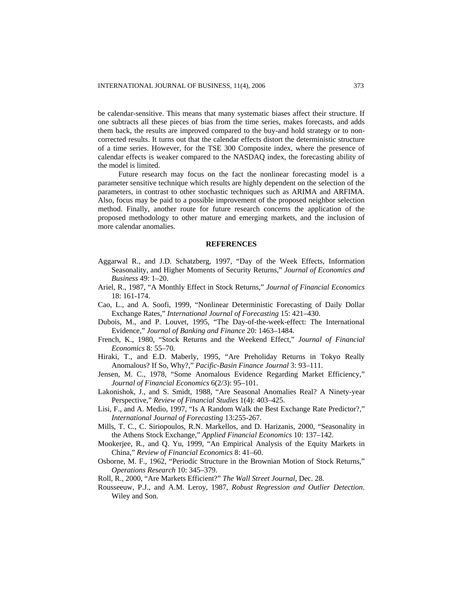be calendar-sensitive. This means that many systematic biases affect their structure. If one subtracts all these pieces of bias from the time series, makes forecasts, and adds them back, the results are improved compared to the buy-and hold strategy or to noncorrected results. It turns out that the calendar effects distort the deterministic structure of a time series. However, for the TSE 300 Composite index, where the presence of calendar effects is weaker compared to the NASDAQ index, the forecasting ability of the model is limited.

Future research may focus on the fact the nonlinear forecasting model is a parameter sensitive technique which results are highly dependent on the selection of the parameters, in contrast to other stochastic techniques such as ARIMA and ARFIMA. Also, focus may be paid to a possible improvement of the proposed neighbor selection method. Finally, another route for future research concerns the application of the proposed methodology to other mature and emerging markets, and the inclusion of more calendar anomalies.

#### **REFERENCES**

- Aggarwal R., and J.D. Schatzberg, 1997, "Day of the Week Effects, Information Seasonality, and Higher Moments of Security Returns," *Journal of Economics and Business* 49: 1–20.
- Ariel, R., 1987, "A Monthly Effect in Stock Returns," *Journal of Financial Economics* 18: 161-174.
- Cao, L., and A. Soofi, 1999, "Nonlinear Deterministic Forecasting of Daily Dollar Exchange Rates," *International Journal of Forecasting* 15: 421–430.
- Dubois, M., and P. Louvet, 1995, "The Day-of-the-week-effect: The International Evidence," *Journal of Banking and Finance* 20: 1463–1484.
- French, K., 1980, "Stock Returns and the Weekend Effect," *Journal of Financial Economics* 8: 55–70.
- Hiraki, T., and E.D. Maberly, 1995, "Are Preholiday Returns in Tokyo Really Anomalous? If So, Why?," *Pacific-Basin Finance Journal* 3: 93–111.
- Jensen, M. C., 1978, "Some Anomalous Evidence Regarding Market Efficiency," *Journal of Financial Economics* 6(2/3): 95–101.
- Lakonishok, J., and S. Smidt, 1988, "Are Seasonal Anomalies Real? A Ninety-year Perspective," *Review of Financial Studies* 1(4): 403–425.
- Lisi, F., and A. Medio, 1997, "Is A Random Walk the Best Exchange Rate Predictor?," *International Journal of Forecasting* 13:255-267.
- Mills, T. C., C. Siriopoulos, R.N. Markellos, and D. Harizanis, 2000, "Seasonality in the Athens Stock Exchange," *Applied Financial Economics* 10: 137–142.
- Mookerjee, R., and Q. Yu, 1999, "An Empirical Analysis of the Equity Markets in China," *Review of Financial Economics* 8: 41–60.
- Osborne, M. F., 1962, "Periodic Structure in the Brownian Motion of Stock Returns," *Operations Research* 10: 345–379.
- Roll, R., 2000, "Are Markets Efficient?" *The Wall Street Journal*, Dec. 28.
- Rousseeuw, P.J., and A.M. Leroy, 1987, *Robust Regression and Outlier Detection*. Wiley and Son.